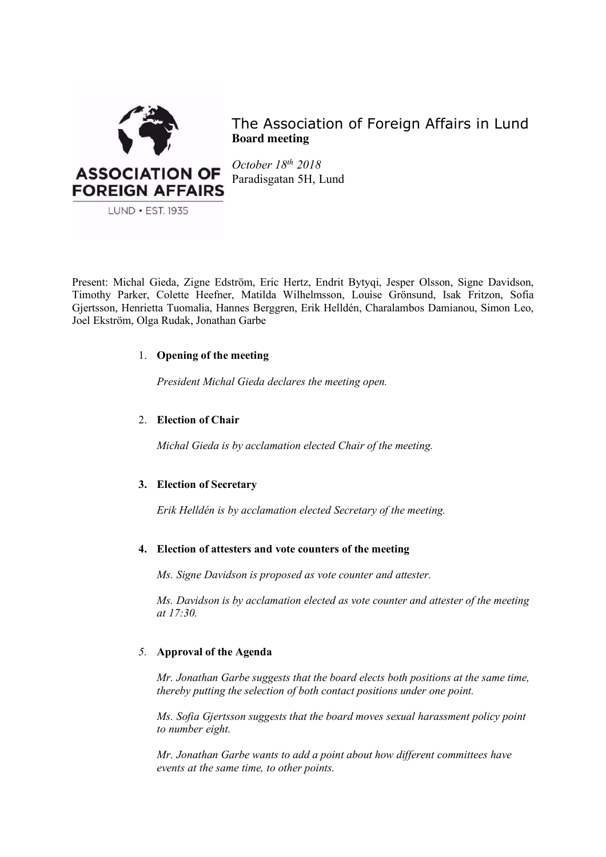

The Association of Foreign Affairs in Lund **Board meeting**

*October 18th 2018* Paradisgatan 5H, Lund

Present: Michal Gieda, Zigne Edström, Eric Hertz, Endrit Bytyqi, Jesper Olsson, Signe Davidson, Timothy Parker, Colette Heefner, Matilda Wilhelmsson, Louise Grönsund, Isak Fritzon, Sofia Gjertsson, Henrietta Tuomalia, Hannes Berggren, Erik Helldén, Charalambos Damianou, Simon Leo, Joel Ekström, Olga Rudak, Jonathan Garbe

## 1. **Opening of the meeting**

*President Michal Gieda declares the meeting open.*

## 2. **Election of Chair**

*Michal Gieda is by acclamation elected Chair of the meeting.*

## **3. Election of Secretary**

*Erik Helldén is by acclamation elected Secretary of the meeting.*

## **4. Election of attesters and vote counters of the meeting**

*Ms. Signe Davidson is proposed as vote counter and attester.* 

*Ms. Davidson is by acclamation elected as vote counter and attester of the meeting at 17:30.*

# *5.* **Approval of the Agenda**

*Mr. Jonathan Garbe suggests that the board elects both positions at the same time, thereby putting the selection of both contact positions under one point.* 

*Ms. Sofia Gjertsson suggests that the board moves sexual harassment policy point to number eight.* 

*Mr. Jonathan Garbe wants to add a point about how different committees have events at the same time, to other points.*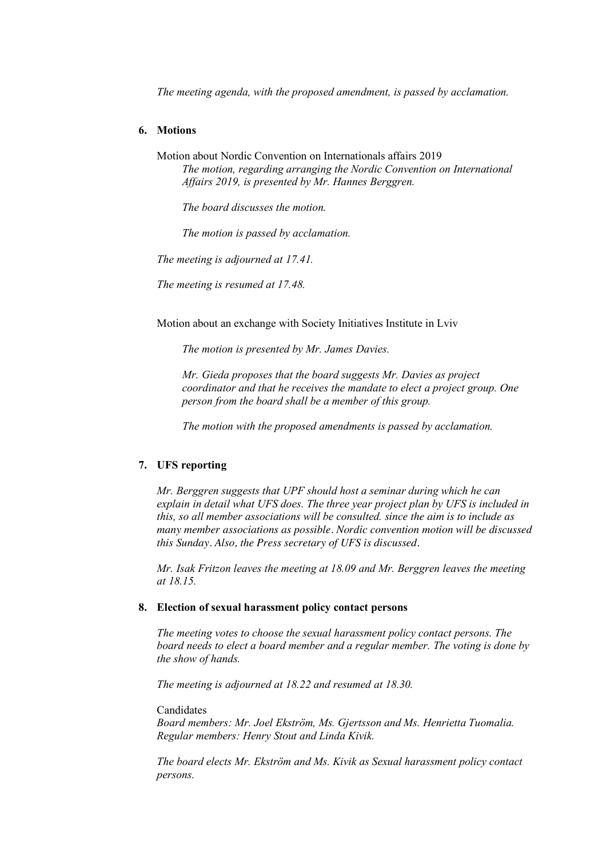*The meeting agenda, with the proposed amendment, is passed by acclamation.* 

# **6. Motions**

Motion about Nordic Convention on Internationals affairs 2019

*The motion, regarding arranging the Nordic Convention on International Affairs 2019, is presented by Mr. Hannes Berggren.* 

*The board discusses the motion.* 

*The motion is passed by acclamation.* 

*The meeting is adjourned at 17.41.*

*The meeting is resumed at 17.48.* 

Motion about an exchange with Society Initiatives Institute in Lviv

*The motion is presented by Mr. James Davies.* 

*Mr. Gieda proposes that the board suggests Mr. Davies as project coordinator and that he receives the mandate to elect a project group. One person from the board shall be a member of this group.*

*The motion with the proposed amendments is passed by acclamation.* 

## **7. UFS reporting**

*Mr. Berggren suggests that UPF should host a seminar during which he can explain in detail what UFS does. The three year project plan by UFS is included in this, so all member associations will be consulted. since the aim is to include as many member associations as possible. Nordic convention motion will be discussed this Sunday. Also, the Press secretary of UFS is discussed.* 

*Mr. Isak Fritzon leaves the meeting at 18.09 and Mr. Berggren leaves the meeting at 18.15.*

## **8. Election of sexual harassment policy contact persons**

*The meeting votes to choose the sexual harassment policy contact persons. The board needs to elect a board member and a regular member. The voting is done by the show of hands.*

*The meeting is adjourned at 18.22 and resumed at 18.30.*

**Candidates** 

*Board members: Mr. Joel Ekström, Ms. Gjertsson and Ms. Henrietta Tuomalia. Regular members: Henry Stout and Linda Kivik.* 

*The board elects Mr. Ekström and Ms. Kivik as Sexual harassment policy contact persons.*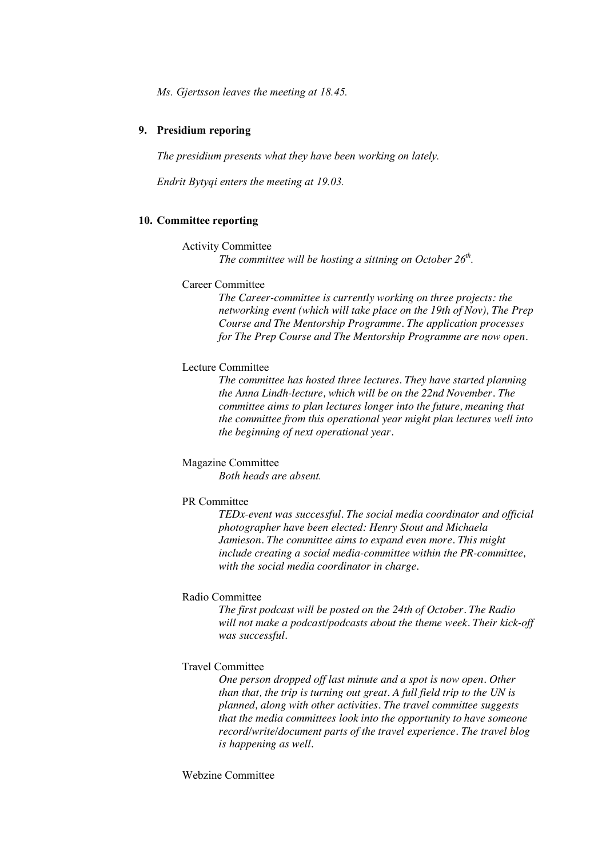*Ms. Gjertsson leaves the meeting at 18.45.* 

### **9. Presidium reporing**

*The presidium presents what they have been working on lately.*

*Endrit Bytyqi enters the meeting at 19.03.*

### **10. Committee reporting**

#### Activity Committee

*The committee will be hosting a sittning on October 26<sup>th</sup>.* 

## Career Committee

*The Career-committee is currently working on three projects: the networking event (which will take place on the 19th of Nov), The Prep Course and The Mentorship Programme. The application processes for The Prep Course and The Mentorship Programme are now open.* 

# Lecture Committee

*The committee has hosted three lectures. They have started planning the Anna Lindh-lecture, which will be on the 22nd November. The committee aims to plan lectures longer into the future, meaning that the committee from this operational year might plan lectures well into the beginning of next operational year.* 

### Magazine Committee

*Both heads are absent.* 

### PR Committee

*TEDx-event was successful. The social media coordinator and official photographer have been elected: Henry Stout and Michaela Jamieson. The committee aims to expand even more. This might include creating a social media-committee within the PR-committee, with the social media coordinator in charge.* 

#### Radio Committee

*The first podcast will be posted on the 24th of October. The Radio will not make a podcast/podcasts about the theme week. Their kick-off was successful.* 

### Travel Committee

*One person dropped off last minute and a spot is now open. Other than that, the trip is turning out great. A full field trip to the UN is planned, along with other activities. The travel committee suggests that the media committees look into the opportunity to have someone record/write/document parts of the travel experience. The travel blog is happening as well.* 

Webzine Committee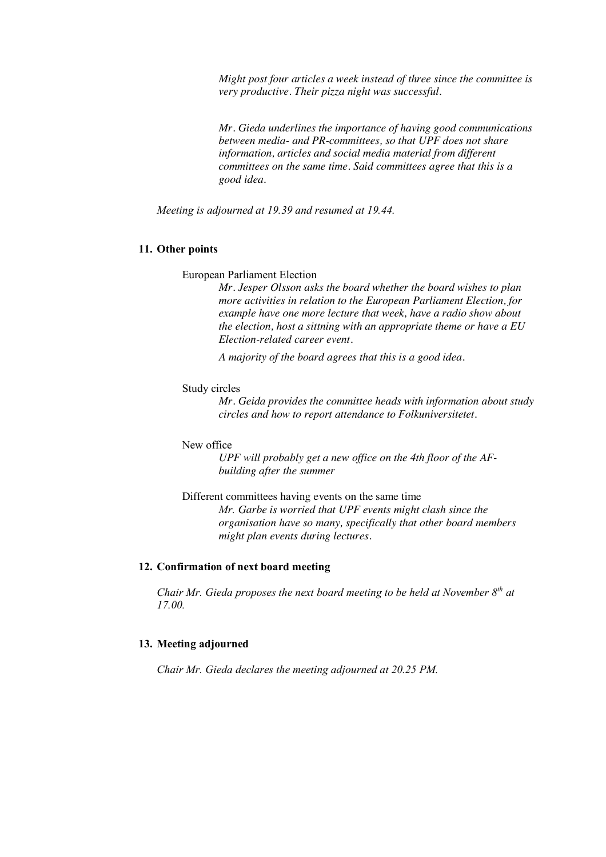*Might post four articles a week instead of three since the committee is very productive. Their pizza night was successful.* 

*Mr. Gieda underlines the importance of having good communications between media- and PR-committees, so that UPF does not share information, articles and social media material from different committees on the same time. Said committees agree that this is a good idea.* 

*Meeting is adjourned at 19.39 and resumed at 19.44.*

### **11. Other points**

European Parliament Election

*Mr. Jesper Olsson asks the board whether the board wishes to plan more activities in relation to the European Parliament Election, for example have one more lecture that week, have a radio show about the election, host a sittning with an appropriate theme or have a EU Election-related career event.* 

*A majority of the board agrees that this is a good idea.* 

#### Study circles

*Mr. Geida provides the committee heads with information about study circles and how to report attendance to Folkuniversitetet.* 

#### New office

*UPF will probably get a new office on the 4th floor of the AFbuilding after the summer*

Different committees having events on the same time

*Mr. Garbe is worried that UPF events might clash since the organisation have so many, specifically that other board members might plan events during lectures.* 

# **12. Confirmation of next board meeting**

*Chair Mr. Gieda proposes the next board meeting to be held at November 8th at 17.00.*

## **13. Meeting adjourned**

*Chair Mr. Gieda declares the meeting adjourned at 20.25 PM.*